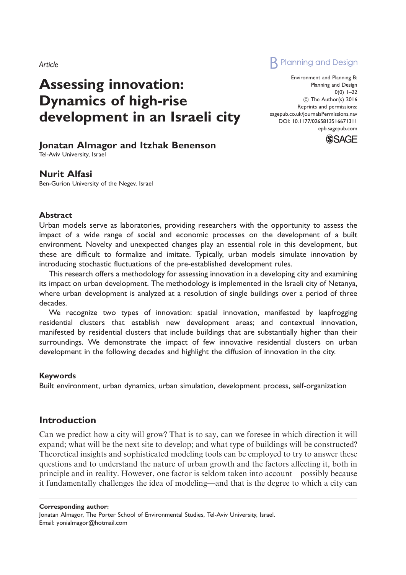# Assessing innovation: Dynamics of high-rise development in an Israeli city

# Jonatan Almagor and Itzhak Benenson

Tel-Aviv University, Israel

## Nurit Alfasi

Ben-Gurion University of the Negev, Israel

Environment and Planning B: Planning and Design 0(0) 1–22 (C) The Author(s) 2016 Reprints and permissions: sagepub.co.uk/journalsPermissions.nav DOI: 10.1177/0265813516671311 epb.sagepub.com



## Abstract

Urban models serve as laboratories, providing researchers with the opportunity to assess the impact of a wide range of social and economic processes on the development of a built environment. Novelty and unexpected changes play an essential role in this development, but these are difficult to formalize and imitate. Typically, urban models simulate innovation by introducing stochastic fluctuations of the pre-established development rules.

This research offers a methodology for assessing innovation in a developing city and examining its impact on urban development. The methodology is implemented in the Israeli city of Netanya, where urban development is analyzed at a resolution of single buildings over a period of three decades.

We recognize two types of innovation: spatial innovation, manifested by leapfrogging residential clusters that establish new development areas; and contextual innovation, manifested by residential clusters that include buildings that are substantially higher than their surroundings. We demonstrate the impact of few innovative residential clusters on urban development in the following decades and highlight the diffusion of innovation in the city.

## Keywords

Built environment, urban dynamics, urban simulation, development process, self-organization

# Introduction

Can we predict how a city will grow? That is to say, can we foresee in which direction it will expand; what will be the next site to develop; and what type of buildings will be constructed? Theoretical insights and sophisticated modeling tools can be employed to try to answer these questions and to understand the nature of urban growth and the factors affecting it, both in principle and in reality. However, one factor is seldom taken into account—possibly because it fundamentally challenges the idea of modeling—and that is the degree to which a city can

Corresponding author:

Jonatan Almagor, The Porter School of Environmental Studies, Tel-Aviv University, Israel. Email: yonialmagor@hotmail.com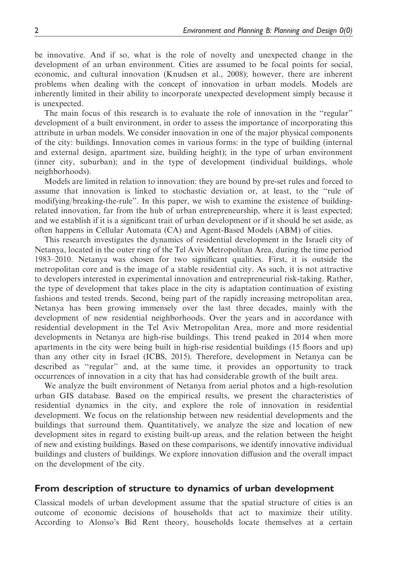be innovative. And if so, what is the role of novelty and unexpected change in the development of an urban environment. Cities are assumed to be focal points for social, economic, and cultural innovation (Knudsen et al., 2008); however, there are inherent problems when dealing with the concept of innovation in urban models. Models are inherently limited in their ability to incorporate unexpected development simply because it is unexpected.

The main focus of this research is to evaluate the role of innovation in the ''regular'' development of a built environment, in order to assess the importance of incorporating this attribute in urban models. We consider innovation in one of the major physical components of the city: buildings. Innovation comes in various forms: in the type of building (internal and external design, apartment size, building height); in the type of urban environment (inner city, suburban); and in the type of development (individual buildings, whole neighborhoods).

Models are limited in relation to innovation: they are bound by pre-set rules and forced to assume that innovation is linked to stochastic deviation or, at least, to the ''rule of modifying/breaking-the-rule''. In this paper, we wish to examine the existence of buildingrelated innovation, far from the hub of urban entrepreneurship, where it is least expected; and we establish if it is a significant trait of urban development or if it should be set aside, as often happens in Cellular Automata (CA) and Agent-Based Models (ABM) of cities.

This research investigates the dynamics of residential development in the Israeli city of Netanya, located in the outer ring of the Tel Aviv Metropolitan Area, during the time period 1983–2010. Netanya was chosen for two significant qualities. First, it is outside the metropolitan core and is the image of a stable residential city. As such, it is not attractive to developers interested in experimental innovation and entrepreneurial risk-taking. Rather, the type of development that takes place in the city is adaptation continuation of existing fashions and tested trends. Second, being part of the rapidly increasing metropolitan area, Netanya has been growing immensely over the last three decades, mainly with the development of new residential neighborhoods. Over the years and in accordance with residential development in the Tel Aviv Metropolitan Area, more and more residential developments in Netanya are high-rise buildings. This trend peaked in 2014 when more apartments in the city were being built in high-rise residential buildings (15 floors and up) than any other city in Israel (ICBS, 2015). Therefore, development in Netanya can be described as ''regular'' and, at the same time, it provides an opportunity to track occurrences of innovation in a city that has had considerable growth of the built area.

We analyze the built environment of Netanya from aerial photos and a high-resolution urban GIS database. Based on the empirical results, we present the characteristics of residential dynamics in the city, and explore the role of innovation in residential development. We focus on the relationship between new residential developments and the buildings that surround them. Quantitatively, we analyze the size and location of new development sites in regard to existing built-up areas, and the relation between the height of new and existing buildings. Based on these comparisons, we identify innovative individual buildings and clusters of buildings. We explore innovation diffusion and the overall impact on the development of the city.

## From description of structure to dynamics of urban development

Classical models of urban development assume that the spatial structure of cities is an outcome of economic decisions of households that act to maximize their utility. According to Alonso's Bid Rent theory, households locate themselves at a certain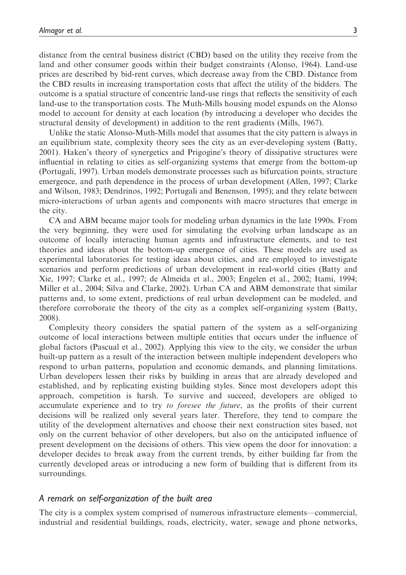distance from the central business district (CBD) based on the utility they receive from the land and other consumer goods within their budget constraints (Alonso, 1964). Land-use prices are described by bid-rent curves, which decrease away from the CBD. Distance from the CBD results in increasing transportation costs that affect the utility of the bidders. The outcome is a spatial structure of concentric land-use rings that reflects the sensitivity of each land-use to the transportation costs. The Muth-Mills housing model expands on the Alonso model to account for density at each location (by introducing a developer who decides the structural density of development) in addition to the rent gradients (Mills, 1967).

Unlike the static Alonso-Muth-Mills model that assumes that the city pattern is always in an equilibrium state, complexity theory sees the city as an ever-developing system (Batty, 2001). Haken's theory of synergetics and Prigogine's theory of dissipative structures were influential in relating to cities as self-organizing systems that emerge from the bottom-up (Portugali, 1997). Urban models demonstrate processes such as bifurcation points, structure emergence, and path dependence in the process of urban development (Allen, 1997; Clarke and Wilson, 1983; Dendrinos, 1992; Portugali and Benenson, 1995); and they relate between micro-interactions of urban agents and components with macro structures that emerge in the city.

CA and ABM became major tools for modeling urban dynamics in the late 1990s. From the very beginning, they were used for simulating the evolving urban landscape as an outcome of locally interacting human agents and infrastructure elements, and to test theories and ideas about the bottom-up emergence of cities. These models are used as experimental laboratories for testing ideas about cities, and are employed to investigate scenarios and perform predictions of urban development in real-world cities (Batty and Xie, 1997; Clarke et al., 1997; de Almeida et al., 2003; Engelen et al., 2002; Itami, 1994; Miller et al., 2004; Silva and Clarke, 2002). Urban CA and ABM demonstrate that similar patterns and, to some extent, predictions of real urban development can be modeled, and therefore corroborate the theory of the city as a complex self-organizing system (Batty, 2008).

Complexity theory considers the spatial pattern of the system as a self-organizing outcome of local interactions between multiple entities that occurs under the influence of global factors (Pascual et al., 2002). Applying this view to the city, we consider the urban built-up pattern as a result of the interaction between multiple independent developers who respond to urban patterns, population and economic demands, and planning limitations. Urban developers lessen their risks by building in areas that are already developed and established, and by replicating existing building styles. Since most developers adopt this approach, competition is harsh. To survive and succeed, developers are obliged to accumulate experience and to try to foresee the future, as the profits of their current decisions will be realized only several years later. Therefore, they tend to compare the utility of the development alternatives and choose their next construction sites based, not only on the current behavior of other developers, but also on the anticipated influence of present development on the decisions of others. This view opens the door for innovation: a developer decides to break away from the current trends, by either building far from the currently developed areas or introducing a new form of building that is different from its surroundings.

## A remark on self-organization of the built area

The city is a complex system comprised of numerous infrastructure elements—commercial, industrial and residential buildings, roads, electricity, water, sewage and phone networks,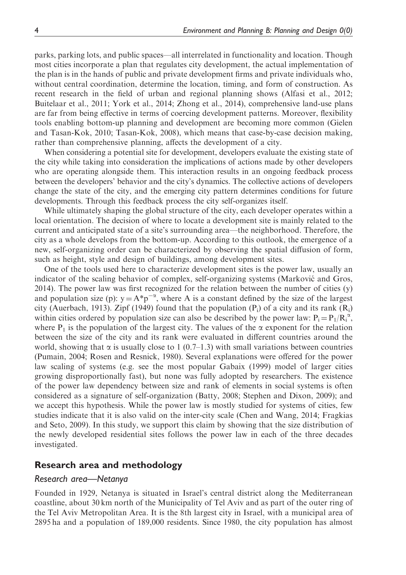parks, parking lots, and public spaces—all interrelated in functionality and location. Though most cities incorporate a plan that regulates city development, the actual implementation of the plan is in the hands of public and private development firms and private individuals who, without central coordination, determine the location, timing, and form of construction. As recent research in the field of urban and regional planning shows (Alfasi et al., 2012; Buitelaar et al., 2011; York et al., 2014; Zhong et al., 2014), comprehensive land-use plans are far from being effective in terms of coercing development patterns. Moreover, flexibility tools enabling bottom-up planning and development are becoming more common (Gielen and Tasan-Kok, 2010; Tasan-Kok, 2008), which means that case-by-case decision making, rather than comprehensive planning, affects the development of a city.

When considering a potential site for development, developers evaluate the existing state of the city while taking into consideration the implications of actions made by other developers who are operating alongside them. This interaction results in an ongoing feedback process between the developers' behavior and the city's dynamics. The collective actions of developers change the state of the city, and the emerging city pattern determines conditions for future developments. Through this feedback process the city self-organizes itself.

While ultimately shaping the global structure of the city, each developer operates within a local orientation. The decision of where to locate a development site is mainly related to the current and anticipated state of a site's surrounding area—the neighborhood. Therefore, the city as a whole develops from the bottom-up. According to this outlook, the emergence of a new, self-organizing order can be characterized by observing the spatial diffusion of form, such as height, style and design of buildings, among development sites.

One of the tools used here to characterize development sites is the power law, usually an indicator of the scaling behavior of complex, self-organizing systems (Marković and Gros, 2014). The power law was first recognized for the relation between the number of cities (y) and population size (p):  $y = A^*p^{-\alpha}$ , where A is a constant defined by the size of the largest city (Auerbach, 1913). Zipf (1949) found that the population  $(P_i)$  of a city and its rank  $(R_i)$ within cities ordered by population size can also be described by the power law:  $P_i = P_1/R_i^{\alpha}$ , where  $P_1$  is the population of the largest city. The values of the  $\alpha$  exponent for the relation between the size of the city and its rank were evaluated in different countries around the world, showing that  $\alpha$  is usually close to 1 (0.7–1.3) with small variations between countries (Pumain, 2004; Rosen and Resnick, 1980). Several explanations were offered for the power law scaling of systems (e.g. see the most popular Gabaix (1999) model of larger cities growing disproportionally fast), but none was fully adopted by researchers. The existence of the power law dependency between size and rank of elements in social systems is often considered as a signature of self-organization (Batty, 2008; Stephen and Dixon, 2009); and we accept this hypothesis. While the power law is mostly studied for systems of cities, few studies indicate that it is also valid on the inter-city scale (Chen and Wang, 2014; Fragkias and Seto, 2009). In this study, we support this claim by showing that the size distribution of the newly developed residential sites follows the power law in each of the three decades investigated.

# Research area and methodology

## Research area—Netanya

Founded in 1929, Netanya is situated in Israel's central district along the Mediterranean coastline, about 30 km north of the Municipality of Tel Aviv and as part of the outer ring of the Tel Aviv Metropolitan Area. It is the 8th largest city in Israel, with a municipal area of 2895 ha and a population of 189,000 residents. Since 1980, the city population has almost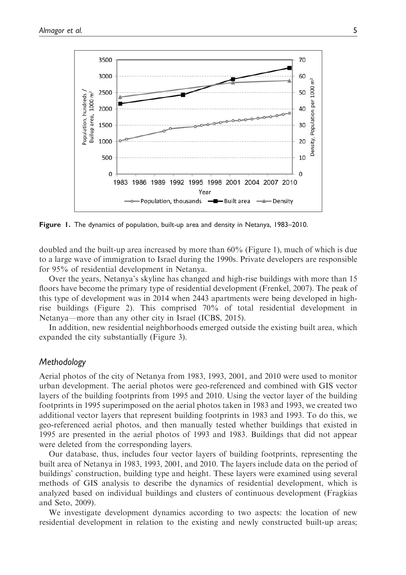

Figure 1. The dynamics of population, built-up area and density in Netanya, 1983–2010.

doubled and the built-up area increased by more than 60% (Figure 1), much of which is due to a large wave of immigration to Israel during the 1990s. Private developers are responsible for 95% of residential development in Netanya.

Over the years, Netanya's skyline has changed and high-rise buildings with more than 15 floors have become the primary type of residential development (Frenkel, 2007). The peak of this type of development was in 2014 when 2443 apartments were being developed in highrise buildings (Figure 2). This comprised 70% of total residential development in Netanya—more than any other city in Israel (ICBS, 2015).

In addition, new residential neighborhoods emerged outside the existing built area, which expanded the city substantially (Figure 3).

## Methodology

Aerial photos of the city of Netanya from 1983, 1993, 2001, and 2010 were used to monitor urban development. The aerial photos were geo-referenced and combined with GIS vector layers of the building footprints from 1995 and 2010. Using the vector layer of the building footprints in 1995 superimposed on the aerial photos taken in 1983 and 1993, we created two additional vector layers that represent building footprints in 1983 and 1993. To do this, we geo-referenced aerial photos, and then manually tested whether buildings that existed in 1995 are presented in the aerial photos of 1993 and 1983. Buildings that did not appear were deleted from the corresponding layers.

Our database, thus, includes four vector layers of building footprints, representing the built area of Netanya in 1983, 1993, 2001, and 2010. The layers include data on the period of buildings' construction, building type and height. These layers were examined using several methods of GIS analysis to describe the dynamics of residential development, which is analyzed based on individual buildings and clusters of continuous development (Fragkias and Seto, 2009).

We investigate development dynamics according to two aspects: the location of new residential development in relation to the existing and newly constructed built-up areas;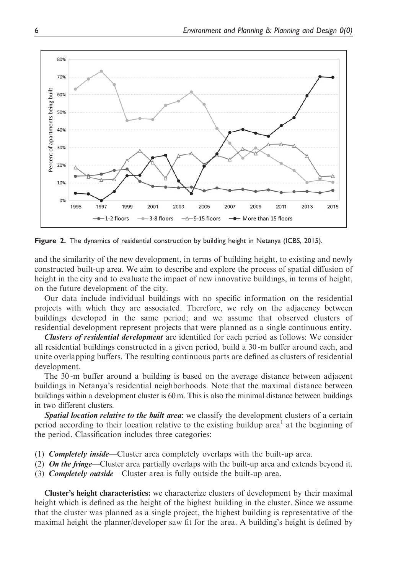

Figure 2. The dynamics of residential construction by building height in Netanya (ICBS, 2015).

and the similarity of the new development, in terms of building height, to existing and newly constructed built-up area. We aim to describe and explore the process of spatial diffusion of height in the city and to evaluate the impact of new innovative buildings, in terms of height, on the future development of the city.

Our data include individual buildings with no specific information on the residential projects with which they are associated. Therefore, we rely on the adjacency between buildings developed in the same period; and we assume that observed clusters of residential development represent projects that were planned as a single continuous entity.

Clusters of residential development are identified for each period as follows: We consider all residential buildings constructed in a given period, build a 30 -m buffer around each, and unite overlapping buffers. The resulting continuous parts are defined as clusters of residential development.

The 30 -m buffer around a building is based on the average distance between adjacent buildings in Netanya's residential neighborhoods. Note that the maximal distance between buildings within a development cluster is 60 m. This is also the minimal distance between buildings in two different clusters.

Spatial location relative to the built area: we classify the development clusters of a certain period according to their location relative to the existing buildup area<sup>1</sup> at the beginning of the period. Classification includes three categories:

- (1) Completely inside—Cluster area completely overlaps with the built-up area.
- (2) On the fringe—Cluster area partially overlaps with the built-up area and extends beyond it.
- (3) Completely outside—Cluster area is fully outside the built-up area.

Cluster's height characteristics: we characterize clusters of development by their maximal height which is defined as the height of the highest building in the cluster. Since we assume that the cluster was planned as a single project, the highest building is representative of the maximal height the planner/developer saw fit for the area. A building's height is defined by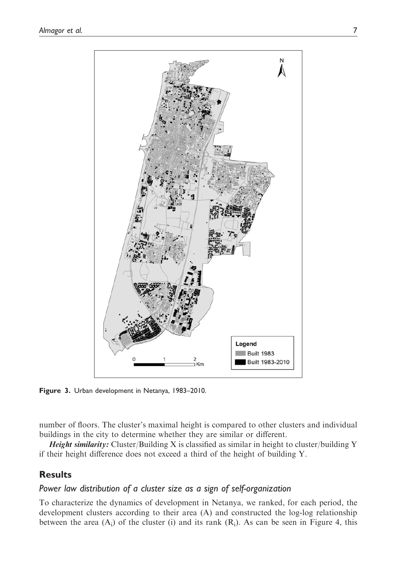

Figure 3. Urban development in Netanya, 1983–2010.

number of floors. The cluster's maximal height is compared to other clusters and individual buildings in the city to determine whether they are similar or different.

*Height similarity:* Cluster/Building X is classified as similar in height to cluster/building Y if their height difference does not exceed a third of the height of building Y.

# **Results**

## Power law distribution of a cluster size as a sign of self-organization

To characterize the dynamics of development in Netanya, we ranked, for each period, the development clusters according to their area (A) and constructed the log-log relationship between the area  $(A_i)$  of the cluster (i) and its rank  $(R_i)$ . As can be seen in Figure 4, this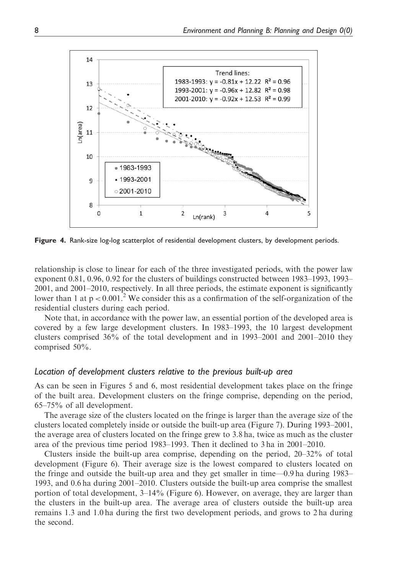

Figure 4. Rank-size log-log scatterplot of residential development clusters, by development periods.

relationship is close to linear for each of the three investigated periods, with the power law exponent 0.81, 0.96, 0.92 for the clusters of buildings constructed between 1983–1993, 1993– 2001, and 2001–2010, respectively. In all three periods, the estimate exponent is significantly lower than 1 at  $p < 0.001$ .<sup>2</sup> We consider this as a confirmation of the self-organization of the residential clusters during each period.

Note that, in accordance with the power law, an essential portion of the developed area is covered by a few large development clusters. In 1983–1993, the 10 largest development clusters comprised 36% of the total development and in 1993–2001 and 2001–2010 they comprised 50%.

#### Location of development clusters relative to the previous built-up area

As can be seen in Figures 5 and 6, most residential development takes place on the fringe of the built area. Development clusters on the fringe comprise, depending on the period, 65–75% of all development.

The average size of the clusters located on the fringe is larger than the average size of the clusters located completely inside or outside the built-up area (Figure 7). During 1993–2001, the average area of clusters located on the fringe grew to 3.8 ha, twice as much as the cluster area of the previous time period 1983–1993. Then it declined to 3 ha in 2001–2010.

Clusters inside the built-up area comprise, depending on the period, 20–32% of total development (Figure 6). Their average size is the lowest compared to clusters located on the fringe and outside the built-up area and they get smaller in time—0.9 ha during 1983– 1993, and 0.6 ha during 2001–2010. Clusters outside the built-up area comprise the smallest portion of total development, 3–14% (Figure 6). However, on average, they are larger than the clusters in the built-up area. The average area of clusters outside the built-up area remains 1.3 and 1.0 ha during the first two development periods, and grows to 2 ha during the second.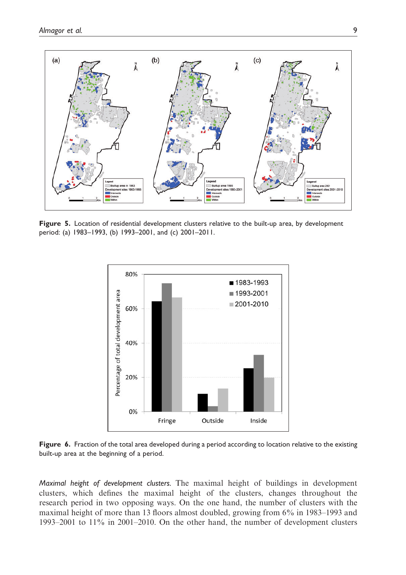

Figure 5. Location of residential development clusters relative to the built-up area, by development period: (a) 1983–1993, (b) 1993–2001, and (c) 2001–2011.



Figure 6. Fraction of the total area developed during a period according to location relative to the existing built-up area at the beginning of a period.

Maximal height of development clusters. The maximal height of buildings in development clusters, which defines the maximal height of the clusters, changes throughout the research period in two opposing ways. On the one hand, the number of clusters with the maximal height of more than 13 floors almost doubled, growing from 6% in 1983–1993 and 1993–2001 to 11% in 2001–2010. On the other hand, the number of development clusters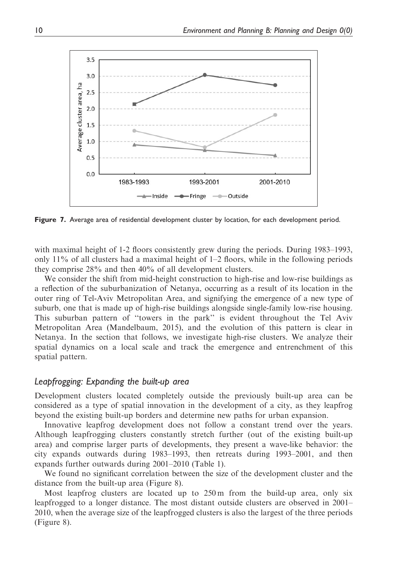

Figure 7. Average area of residential development cluster by location, for each development period.

with maximal height of 1-2 floors consistently grew during the periods. During 1983–1993, only 11% of all clusters had a maximal height of  $1-2$  floors, while in the following periods they comprise 28% and then 40% of all development clusters.

We consider the shift from mid-height construction to high-rise and low-rise buildings as a reflection of the suburbanization of Netanya, occurring as a result of its location in the outer ring of Tel-Aviv Metropolitan Area, and signifying the emergence of a new type of suburb, one that is made up of high-rise buildings alongside single-family low-rise housing. This suburban pattern of ''towers in the park'' is evident throughout the Tel Aviv Metropolitan Area (Mandelbaum, 2015), and the evolution of this pattern is clear in Netanya. In the section that follows, we investigate high-rise clusters. We analyze their spatial dynamics on a local scale and track the emergence and entrenchment of this spatial pattern.

#### Leapfrogging: Expanding the built-up area

Development clusters located completely outside the previously built-up area can be considered as a type of spatial innovation in the development of a city, as they leapfrog beyond the existing built-up borders and determine new paths for urban expansion.

Innovative leapfrog development does not follow a constant trend over the years. Although leapfrogging clusters constantly stretch further (out of the existing built-up area) and comprise larger parts of developments, they present a wave-like behavior: the city expands outwards during 1983–1993, then retreats during 1993–2001, and then expands further outwards during 2001–2010 (Table 1).

We found no significant correlation between the size of the development cluster and the distance from the built-up area (Figure 8).

Most leapfrog clusters are located up to  $250 \text{ m}$  from the build-up area, only six leapfrogged to a longer distance. The most distant outside clusters are observed in 2001– 2010, when the average size of the leapfrogged clusters is also the largest of the three periods (Figure 8).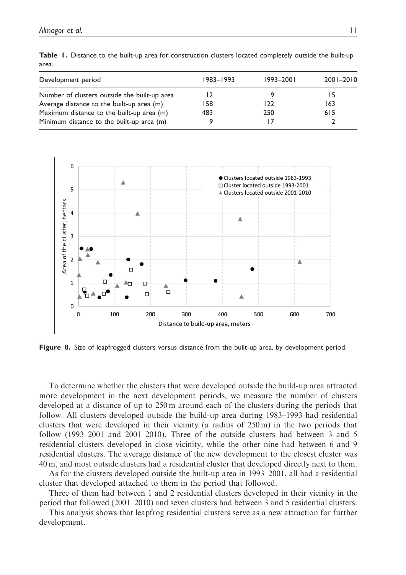| Development period                           | 1983-1993 | 1993-2001 | $2001 - 2010$ |
|----------------------------------------------|-----------|-----------|---------------|
| Number of clusters outside the built-up area | 12        |           |               |
| Average distance to the built-up area (m)    | 158       | 122       | 163           |
| Maximum distance to the built-up area (m)    | 483       | 250       | 615           |
| Minimum distance to the built-up area (m)    |           |           |               |

Table 1. Distance to the built-up area for construction clusters located completely outside the built-up area.



Figure 8. Size of leapfrogged clusters versus distance from the built-up area, by development period.

To determine whether the clusters that were developed outside the build-up area attracted more development in the next development periods, we measure the number of clusters developed at a distance of up to 250 m around each of the clusters during the periods that follow. All clusters developed outside the build-up area during 1983–1993 had residential clusters that were developed in their vicinity (a radius of 250 m) in the two periods that follow (1993–2001 and 2001–2010). Three of the outside clusters had between 3 and 5 residential clusters developed in close vicinity, while the other nine had between 6 and 9 residential clusters. The average distance of the new development to the closest cluster was 40 m, and most outside clusters had a residential cluster that developed directly next to them.

As for the clusters developed outside the built-up area in 1993–2001, all had a residential cluster that developed attached to them in the period that followed.

Three of them had between 1 and 2 residential clusters developed in their vicinity in the period that followed (2001–2010) and seven clusters had between 3 and 5 residential clusters.

This analysis shows that leapfrog residential clusters serve as a new attraction for further development.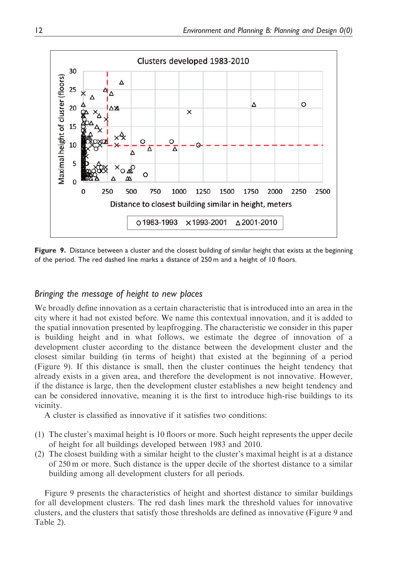

Figure 9. Distance between a cluster and the closest building of similar height that exists at the beginning of the period. The red dashed line marks a distance of 250 m and a height of 10 floors.

# Bringing the message of height to new places

We broadly define innovation as a certain characteristic that is introduced into an area in the city where it had not existed before. We name this contextual innovation, and it is added to the spatial innovation presented by leapfrogging. The characteristic we consider in this paper is building height and in what follows, we estimate the degree of innovation of a development cluster according to the distance between the development cluster and the closest similar building (in terms of height) that existed at the beginning of a period (Figure 9). If this distance is small, then the cluster continues the height tendency that already exists in a given area, and therefore the development is not innovative. However, if the distance is large, then the development cluster establishes a new height tendency and can be considered innovative, meaning it is the first to introduce high-rise buildings to its vicinity.

A cluster is classified as innovative if it satisfies two conditions:

- (1) The cluster's maximal height is 10 floors or more. Such height represents the upper decile of height for all buildings developed between 1983 and 2010.
- (2) The closest building with a similar height to the cluster's maximal height is at a distance of 250 m or more. Such distance is the upper decile of the shortest distance to a similar building among all development clusters for all periods.

Figure 9 presents the characteristics of height and shortest distance to similar buildings for all development clusters. The red dash lines mark the threshold values for innovative clusters, and the clusters that satisfy those thresholds are defined as innovative (Figure 9 and Table 2).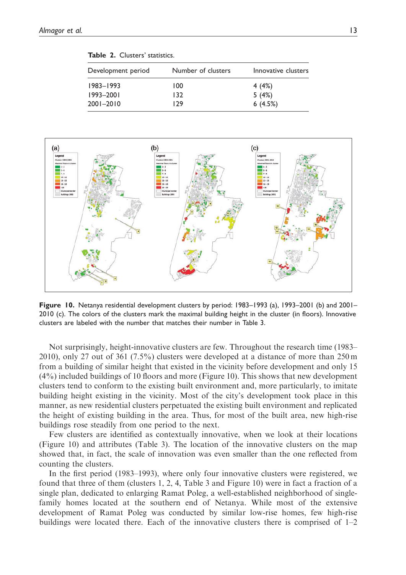| Development period         | Number of clusters | Innovative clusters |
|----------------------------|--------------------|---------------------|
| $1983 - 1993$              | 100                | 4(4%)               |
| 1993-2001<br>$2001 - 2010$ | 132<br>179         | 5(4%)<br>6(4.5%)    |
|                            |                    |                     |

Table 2. Clusters' statistics.



Figure 10. Netanya residential development clusters by period: 1983–1993 (a), 1993–2001 (b) and 2001– 2010 (c). The colors of the clusters mark the maximal building height in the cluster (in floors). Innovative clusters are labeled with the number that matches their number in Table 3.

Not surprisingly, height-innovative clusters are few. Throughout the research time (1983– 2010), only 27 out of 361 (7.5%) clusters were developed at a distance of more than 250 m from a building of similar height that existed in the vicinity before development and only 15 (4%) included buildings of 10 floors and more (Figure 10). This shows that new development clusters tend to conform to the existing built environment and, more particularly, to imitate building height existing in the vicinity. Most of the city's development took place in this manner, as new residential clusters perpetuated the existing built environment and replicated the height of existing building in the area. Thus, for most of the built area, new high-rise buildings rose steadily from one period to the next.

Few clusters are identified as contextually innovative, when we look at their locations (Figure 10) and attributes (Table 3). The location of the innovative clusters on the map showed that, in fact, the scale of innovation was even smaller than the one reflected from counting the clusters.

In the first period (1983–1993), where only four innovative clusters were registered, we found that three of them (clusters 1, 2, 4, Table 3 and Figure 10) were in fact a fraction of a single plan, dedicated to enlarging Ramat Poleg, a well-established neighborhood of singlefamily homes located at the southern end of Netanya. While most of the extensive development of Ramat Poleg was conducted by similar low-rise homes, few high-rise buildings were located there. Each of the innovative clusters there is comprised of 1–2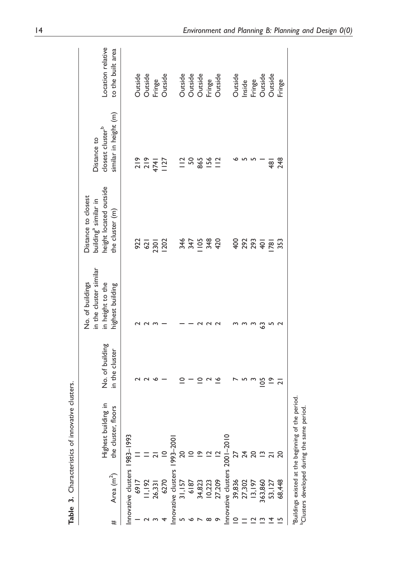| # | Area (m <sup>2</sup> )        | ≘.<br>the cluster, floors<br>Highest building                                                                | No. of building<br>in the cluster | in the cluster similar<br>No. of buildings<br>in height to the<br>highest building | height located outside<br>Distance to closest<br>building <sup>a</sup> similar in<br>the cluster (m) | similar in height (m)<br>closest cluster <sup>b</sup><br>Distance to | Location relative<br>to the built area |
|---|-------------------------------|--------------------------------------------------------------------------------------------------------------|-----------------------------------|------------------------------------------------------------------------------------|------------------------------------------------------------------------------------------------------|----------------------------------------------------------------------|----------------------------------------|
|   | Innovative clusters 1983-1993 |                                                                                                              |                                   |                                                                                    |                                                                                                      |                                                                      |                                        |
|   | 6917                          |                                                                                                              |                                   |                                                                                    |                                                                                                      |                                                                      |                                        |
|   | 1,192                         |                                                                                                              |                                   |                                                                                    |                                                                                                      |                                                                      | Outside<br>Outside                     |
|   | 26,331                        |                                                                                                              |                                   |                                                                                    | 921<br>621<br>1201<br>1202                                                                           | $219$<br>$219$<br>$4741$<br>$127$                                    | Fringe                                 |
|   | 6270                          |                                                                                                              |                                   |                                                                                    |                                                                                                      |                                                                      | Outside                                |
|   | nnovative clusters            | 1993-200                                                                                                     |                                   |                                                                                    |                                                                                                      |                                                                      |                                        |
|   | 31,157                        |                                                                                                              |                                   |                                                                                    |                                                                                                      |                                                                      | Outside                                |
|   | 6187                          |                                                                                                              |                                   |                                                                                    | 347                                                                                                  | $\frac{12}{15}$                                                      | Outside                                |
|   | 34,823                        |                                                                                                              | 0                                 |                                                                                    | <b>105</b><br>348                                                                                    | 865                                                                  | Outside                                |
|   | 10,223                        |                                                                                                              |                                   |                                                                                    |                                                                                                      | <b>156</b>                                                           |                                        |
|   | 27,209                        |                                                                                                              | $\bullet$                         |                                                                                    | 420                                                                                                  | $\frac{1}{2}$                                                        | Fringe<br>Outside                      |
|   | nnovative clusters 2001-2010  |                                                                                                              |                                   |                                                                                    |                                                                                                      |                                                                      |                                        |
| 0 | 39,836                        |                                                                                                              |                                   |                                                                                    | $rac{6}{4}$                                                                                          |                                                                      | Outside                                |
|   | 27,302                        |                                                                                                              |                                   |                                                                                    |                                                                                                      |                                                                      | Inside                                 |
|   | 13,197                        |                                                                                                              |                                   |                                                                                    | 293<br>293<br>401                                                                                    |                                                                      | Fringe<br>Outside                      |
|   | 363,860                       |                                                                                                              | <b>105</b>                        |                                                                                    |                                                                                                      |                                                                      |                                        |
|   | 53, 127                       |                                                                                                              | $\tilde{=}$                       |                                                                                    | $\overline{78}$                                                                                      | $\overline{48}$                                                      | Outside                                |
|   | 68,448                        |                                                                                                              | $\overline{\mathbf{C}}$           |                                                                                    | 353                                                                                                  | 248                                                                  | Fringe                                 |
|   |                               | Buildings existed at the beginning of the period.<br><sup>b</sup> Clusters developed during the same period. |                                   |                                                                                    |                                                                                                      |                                                                      |                                        |

Table 3. Characteristics of innovative clusters. Table 3. Characteristics of innovative clusters.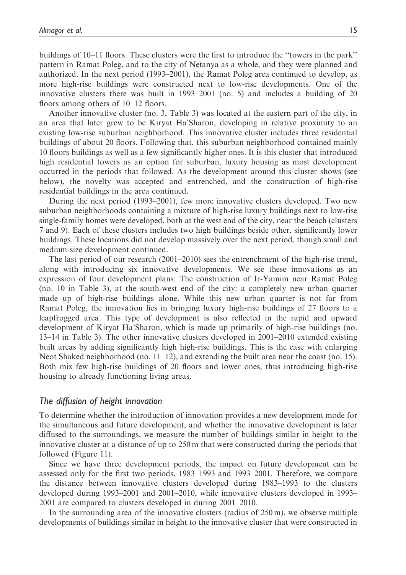buildings of 10–11 floors. These clusters were the first to introduce the ''towers in the park'' pattern in Ramat Poleg, and to the city of Netanya as a whole, and they were planned and authorized. In the next period (1993–2001), the Ramat Poleg area continued to develop, as more high-rise buildings were constructed next to low-rise developments. One of the innovative clusters there was built in 1993–2001 (no. 5) and includes a building of 20 floors among others of 10–12 floors.

Another innovative cluster (no. 3, Table 3) was located at the eastern part of the city, in an area that later grew to be Kiryat Ha'Sharon, developing in relative proximity to an existing low-rise suburban neighborhood. This innovative cluster includes three residential buildings of about 20 floors. Following that, this suburban neighborhood contained mainly 10 floors buildings as well as a few significantly higher ones. It is this cluster that introduced high residential towers as an option for suburban, luxury housing as most development occurred in the periods that followed. As the development around this cluster shows (see below), the novelty was accepted and entrenched, and the construction of high-rise residential buildings in the area continued.

During the next period (1993–2001), few more innovative clusters developed. Two new suburban neighborhoods containing a mixture of high-rise luxury buildings next to low-rise single-family homes were developed, both at the west end of the city, near the beach (clusters 7 and 9). Each of these clusters includes two high buildings beside other, significantly lower buildings. These locations did not develop massively over the next period, though small and medium size development continued.

The last period of our research (2001–2010) sees the entrenchment of the high-rise trend, along with introducing six innovative developments. We see these innovations as an expression of four development plans: The construction of Ir-Yamim near Ramat Poleg (no. 10 in Table 3), at the south-west end of the city: a completely new urban quarter made up of high-rise buildings alone. While this new urban quarter is not far from Ramat Poleg, the innovation lies in bringing luxury high-rise buildings of 27 floors to a leapfrogged area. This type of development is also reflected in the rapid and upward development of Kiryat Ha'Sharon, which is made up primarily of high-rise buildings (no. 13–14 in Table 3). The other innovative clusters developed in 2001–2010 extended existing built areas by adding significantly high high-rise buildings. This is the case with enlarging Neot Shaked neighborhood (no. 11–12), and extending the built area near the coast (no. 15). Both mix few high-rise buildings of 20 floors and lower ones, thus introducing high-rise housing to already functioning living areas.

#### The diffusion of height innovation

To determine whether the introduction of innovation provides a new development mode for the simultaneous and future development, and whether the innovative development is later diffused to the surroundings, we measure the number of buildings similar in height to the innovative cluster at a distance of up to 250 m that were constructed during the periods that followed (Figure 11).

Since we have three development periods, the impact on future development can be assessed only for the first two periods, 1983–1993 and 1993–2001. Therefore, we compare the distance between innovative clusters developed during 1983–1993 to the clusters developed during 1993–2001 and 2001–2010, while innovative clusters developed in 1993– 2001 are compared to clusters developed in during 2001–2010.

In the surrounding area of the innovative clusters (radius of 250 m), we observe multiple developments of buildings similar in height to the innovative cluster that were constructed in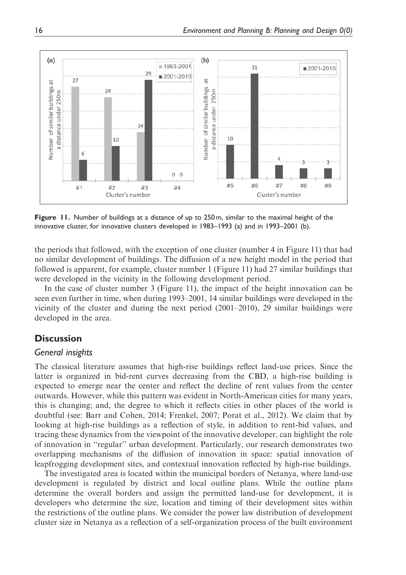

Figure 11. Number of buildings at a distance of up to 250 m, similar to the maximal height of the innovative cluster, for innovative clusters developed in 1983–1993 (a) and in 1993–2001 (b).

the periods that followed, with the exception of one cluster (number 4 in Figure 11) that had no similar development of buildings. The diffusion of a new height model in the period that followed is apparent, for example, cluster number 1 (Figure 11) had 27 similar buildings that were developed in the vicinity in the following development period.

In the case of cluster number 3 (Figure 11), the impact of the height innovation can be seen even further in time, when during 1993–2001, 14 similar buildings were developed in the vicinity of the cluster and during the next period (2001–2010), 29 similar buildings were developed in the area.

# **Discussion**

## General insights

The classical literature assumes that high-rise buildings reflect land-use prices. Since the latter is organized in bid-rent curves decreasing from the CBD, a high-rise building is expected to emerge near the center and reflect the decline of rent values from the center outwards. However, while this pattern was evident in North-American cities for many years, this is changing; and, the degree to which it reflects cities in other places of the world is doubtful (see: Barr and Cohen, 2014; Frenkel, 2007; Porat et al., 2012). We claim that by looking at high-rise buildings as a reflection of style, in addition to rent-bid values, and tracing these dynamics from the viewpoint of the innovative developer, can highlight the role of innovation in ''regular'' urban development. Particularly, our research demonstrates two overlapping mechanisms of the diffusion of innovation in space: spatial innovation of leapfrogging development sites, and contextual innovation reflected by high-rise buildings.

The investigated area is located within the municipal borders of Netanya, where land-use development is regulated by district and local outline plans. While the outline plans determine the overall borders and assign the permitted land-use for development, it is developers who determine the size, location and timing of their development sites within the restrictions of the outline plans. We consider the power law distribution of development cluster size in Netanya as a reflection of a self-organization process of the built environment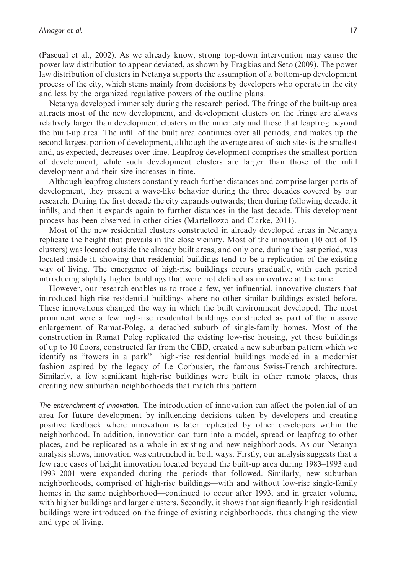(Pascual et al., 2002). As we already know, strong top-down intervention may cause the power law distribution to appear deviated, as shown by Fragkias and Seto (2009). The power law distribution of clusters in Netanya supports the assumption of a bottom-up development process of the city, which stems mainly from decisions by developers who operate in the city and less by the organized regulative powers of the outline plans.

Netanya developed immensely during the research period. The fringe of the built-up area attracts most of the new development, and development clusters on the fringe are always relatively larger than development clusters in the inner city and those that leapfrog beyond the built-up area. The infill of the built area continues over all periods, and makes up the second largest portion of development, although the average area of such sites is the smallest and, as expected, decreases over time. Leapfrog development comprises the smallest portion of development, while such development clusters are larger than those of the infill development and their size increases in time.

Although leapfrog clusters constantly reach further distances and comprise larger parts of development, they present a wave-like behavior during the three decades covered by our research. During the first decade the city expands outwards; then during following decade, it infills; and then it expands again to further distances in the last decade. This development process has been observed in other cities (Martellozzo and Clarke, 2011).

Most of the new residential clusters constructed in already developed areas in Netanya replicate the height that prevails in the close vicinity. Most of the innovation (10 out of 15 clusters) was located outside the already built areas, and only one, during the last period, was located inside it, showing that residential buildings tend to be a replication of the existing way of living. The emergence of high-rise buildings occurs gradually, with each period introducing slightly higher buildings that were not defined as innovative at the time.

However, our research enables us to trace a few, yet influential, innovative clusters that introduced high-rise residential buildings where no other similar buildings existed before. These innovations changed the way in which the built environment developed. The most prominent were a few high-rise residential buildings constructed as part of the massive enlargement of Ramat-Poleg, a detached suburb of single-family homes. Most of the construction in Ramat Poleg replicated the existing low-rise housing, yet these buildings of up to 10 floors, constructed far from the CBD, created a new suburban pattern which we identify as ''towers in a park''—high-rise residential buildings modeled in a modernist fashion aspired by the legacy of Le Corbusier, the famous Swiss-French architecture. Similarly, a few significant high-rise buildings were built in other remote places, thus creating new suburban neighborhoods that match this pattern.

The entrenchment of innovation. The introduction of innovation can affect the potential of an area for future development by influencing decisions taken by developers and creating positive feedback where innovation is later replicated by other developers within the neighborhood. In addition, innovation can turn into a model, spread or leapfrog to other places, and be replicated as a whole in existing and new neighborhoods. As our Netanya analysis shows, innovation was entrenched in both ways. Firstly, our analysis suggests that a few rare cases of height innovation located beyond the built-up area during 1983–1993 and 1993–2001 were expanded during the periods that followed. Similarly, new suburban neighborhoods, comprised of high-rise buildings—with and without low-rise single-family homes in the same neighborhood—continued to occur after 1993, and in greater volume, with higher buildings and larger clusters. Secondly, it shows that significantly high residential buildings were introduced on the fringe of existing neighborhoods, thus changing the view and type of living.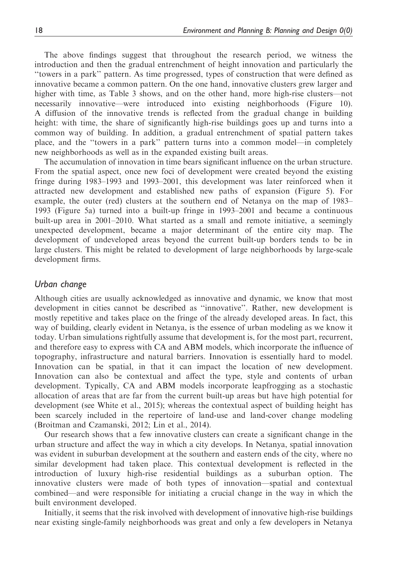The above findings suggest that throughout the research period, we witness the introduction and then the gradual entrenchment of height innovation and particularly the ''towers in a park'' pattern. As time progressed, types of construction that were defined as innovative became a common pattern. On the one hand, innovative clusters grew larger and higher with time, as Table 3 shows, and on the other hand, more high-rise clusters—not necessarily innovative—were introduced into existing neighborhoods (Figure 10). A diffusion of the innovative trends is reflected from the gradual change in building height: with time, the share of significantly high-rise buildings goes up and turns into a common way of building. In addition, a gradual entrenchment of spatial pattern takes place, and the ''towers in a park'' pattern turns into a common model—in completely new neighborhoods as well as in the expanded existing built areas.

The accumulation of innovation in time bears significant influence on the urban structure. From the spatial aspect, once new foci of development were created beyond the existing fringe during 1983–1993 and 1993–2001, this development was later reinforced when it attracted new development and established new paths of expansion (Figure 5). For example, the outer (red) clusters at the southern end of Netanya on the map of 1983– 1993 (Figure 5a) turned into a built-up fringe in 1993–2001 and became a continuous built-up area in 2001–2010. What started as a small and remote initiative, a seemingly unexpected development, became a major determinant of the entire city map. The development of undeveloped areas beyond the current built-up borders tends to be in large clusters. This might be related to development of large neighborhoods by large-scale development firms.

## Urban change

Although cities are usually acknowledged as innovative and dynamic, we know that most development in cities cannot be described as ''innovative''. Rather, new development is mostly repetitive and takes place on the fringe of the already developed areas. In fact, this way of building, clearly evident in Netanya, is the essence of urban modeling as we know it today. Urban simulations rightfully assume that development is, for the most part, recurrent, and therefore easy to express with CA and ABM models, which incorporate the influence of topography, infrastructure and natural barriers. Innovation is essentially hard to model. Innovation can be spatial, in that it can impact the location of new development. Innovation can also be contextual and affect the type, style and contents of urban development. Typically, CA and ABM models incorporate leapfrogging as a stochastic allocation of areas that are far from the current built-up areas but have high potential for development (see White et al., 2015); whereas the contextual aspect of building height has been scarcely included in the repertoire of land-use and land-cover change modeling (Broitman and Czamanski, 2012; Lin et al., 2014).

Our research shows that a few innovative clusters can create a significant change in the urban structure and affect the way in which a city develops. In Netanya, spatial innovation was evident in suburban development at the southern and eastern ends of the city, where no similar development had taken place. This contextual development is reflected in the introduction of luxury high-rise residential buildings as a suburban option. The innovative clusters were made of both types of innovation—spatial and contextual combined—and were responsible for initiating a crucial change in the way in which the built environment developed.

Initially, it seems that the risk involved with development of innovative high-rise buildings near existing single-family neighborhoods was great and only a few developers in Netanya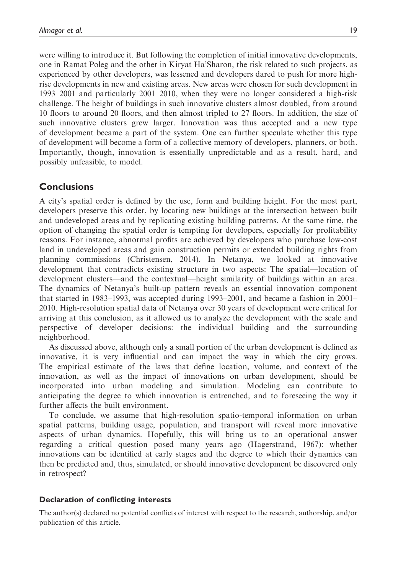were willing to introduce it. But following the completion of initial innovative developments, one in Ramat Poleg and the other in Kiryat Ha'Sharon, the risk related to such projects, as experienced by other developers, was lessened and developers dared to push for more highrise developments in new and existing areas. New areas were chosen for such development in 1993–2001 and particularly 2001–2010, when they were no longer considered a high-risk challenge. The height of buildings in such innovative clusters almost doubled, from around 10 floors to around 20 floors, and then almost tripled to 27 floors. In addition, the size of such innovative clusters grew larger. Innovation was thus accepted and a new type of development became a part of the system. One can further speculate whether this type of development will become a form of a collective memory of developers, planners, or both. Importantly, though, innovation is essentially unpredictable and as a result, hard, and possibly unfeasible, to model.

# **Conclusions**

A city's spatial order is defined by the use, form and building height. For the most part, developers preserve this order, by locating new buildings at the intersection between built and undeveloped areas and by replicating existing building patterns. At the same time, the option of changing the spatial order is tempting for developers, especially for profitability reasons. For instance, abnormal profits are achieved by developers who purchase low-cost land in undeveloped areas and gain construction permits or extended building rights from planning commissions (Christensen, 2014). In Netanya, we looked at innovative development that contradicts existing structure in two aspects: The spatial—location of development clusters—and the contextual—height similarity of buildings within an area. The dynamics of Netanya's built-up pattern reveals an essential innovation component that started in 1983–1993, was accepted during 1993–2001, and became a fashion in 2001– 2010. High-resolution spatial data of Netanya over 30 years of development were critical for arriving at this conclusion, as it allowed us to analyze the development with the scale and perspective of developer decisions: the individual building and the surrounding neighborhood.

As discussed above, although only a small portion of the urban development is defined as innovative, it is very influential and can impact the way in which the city grows. The empirical estimate of the laws that define location, volume, and context of the innovation, as well as the impact of innovations on urban development, should be incorporated into urban modeling and simulation. Modeling can contribute to anticipating the degree to which innovation is entrenched, and to foreseeing the way it further affects the built environment.

To conclude, we assume that high-resolution spatio-temporal information on urban spatial patterns, building usage, population, and transport will reveal more innovative aspects of urban dynamics. Hopefully, this will bring us to an operational answer regarding a critical question posed many years ago (Hagerstrand, 1967): whether innovations can be identified at early stages and the degree to which their dynamics can then be predicted and, thus, simulated, or should innovative development be discovered only in retrospect?

#### Declaration of conflicting interests

The author(s) declared no potential conflicts of interest with respect to the research, authorship, and/or publication of this article.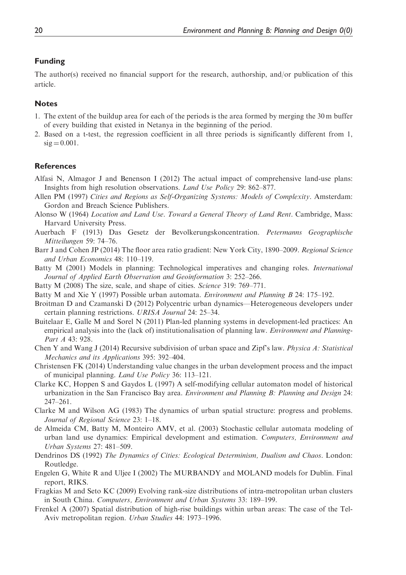## Funding

The author(s) received no financial support for the research, authorship, and/or publication of this article.

#### **Notes**

- 1. The extent of the buildup area for each of the periods is the area formed by merging the 30 m buffer of every building that existed in Netanya in the beginning of the period.
- 2. Based on a t-test, the regression coefficient in all three periods is significantly different from 1,  $sig = 0.001$ .

#### **References**

- Alfasi N, Almagor J and Benenson I (2012) The actual impact of comprehensive land-use plans: Insights from high resolution observations. Land Use Policy 29: 862–877.
- Allen PM (1997) Cities and Regions as Self-Organizing Systems: Models of Complexity. Amsterdam: Gordon and Breach Science Publishers.
- Alonso W (1964) Location and Land Use. Toward a General Theory of Land Rent. Cambridge, Mass: Harvard University Press.
- Auerbach F (1913) Das Gesetz der Bevolkerungskoncentration. Petermanns Geographische Mitteilungen 59: 74–76.
- Barr J and Cohen JP (2014) The floor area ratio gradient: New York City, 1890–2009. Regional Science and Urban Economics 48: 110–119.
- Batty M (2001) Models in planning: Technological imperatives and changing roles. *International* Journal of Applied Earth Observation and Geoinformation 3: 252–266.
- Batty M (2008) The size, scale, and shape of cities. Science 319: 769–771.
- Batty M and Xie Y (1997) Possible urban automata. *Environment and Planning B* 24: 175–192.
- Broitman D and Czamanski D (2012) Polycentric urban dynamics—Heterogeneous developers under certain planning restrictions. URISA Journal 24: 25–34.
- Buitelaar E, Galle M and Sorel N (2011) Plan-led planning systems in development-led practices: An empirical analysis into the (lack of) institutionalisation of planning law. *Environment and Planning-*Part A 43: 928.
- Chen Y and Wang J (2014) Recursive subdivision of urban space and Zipf's law. Physica A: Statistical Mechanics and its Applications 395: 392–404.
- Christensen FK (2014) Understanding value changes in the urban development process and the impact of municipal planning. Land Use Policy 36: 113–121.
- Clarke KC, Hoppen S and Gaydos L (1997) A self-modifying cellular automaton model of historical urbanization in the San Francisco Bay area. *Environment and Planning B: Planning and Design* 24: 247–261.
- Clarke M and Wilson AG (1983) The dynamics of urban spatial structure: progress and problems. Journal of Regional Science 23: 1–18.
- de Almeida CM, Batty M, Monteiro AMV, et al. (2003) Stochastic cellular automata modeling of urban land use dynamics: Empirical development and estimation. Computers, Environment and Urban Systems 27: 481–509.
- Dendrinos DS (1992) The Dynamics of Cities: Ecological Determinism, Dualism and Chaos. London: Routledge.
- Engelen G, White R and Uljee I (2002) The MURBANDY and MOLAND models for Dublin. Final report, RIKS.
- Fragkias M and Seto KC (2009) Evolving rank-size distributions of intra-metropolitan urban clusters in South China. Computers, Environment and Urban Systems 33: 189–199.
- Frenkel A (2007) Spatial distribution of high-rise buildings within urban areas: The case of the Tel-Aviv metropolitan region. Urban Studies 44: 1973–1996.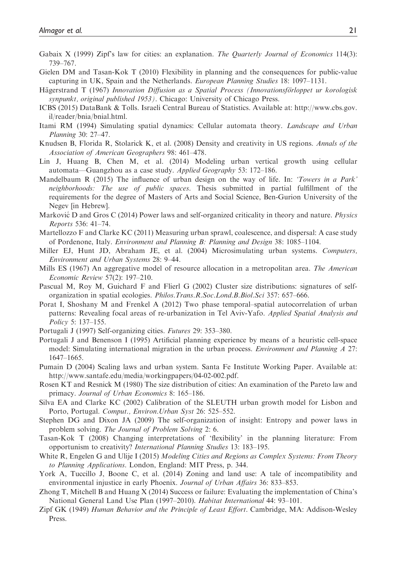- Gabaix X (1999) Zipf's law for cities: an explanation. The Quarterly Journal of Economics 114(3): 739–767.
- Gielen DM and Tasan-Kok T (2010) Flexibility in planning and the consequences for public-value capturing in UK, Spain and the Netherlands. European Planning Studies 18: 1097–1131.
- Hägerstrand T (1967) Innovation Diffusion as a Spatial Process (Innovationsförloppet ur korologisk synpunkt, original published 1953). Chicago: University of Chicago Press.
- ICBS (2015) DataBank & Tolls. Israeli Central Bureau of Statistics. Available at: [http://www.cbs.gov.](http://www.cbs.gov.il/reader/bnia/bnial.html) [il/reader/bnia/bnial.html](http://www.cbs.gov.il/reader/bnia/bnial.html).
- Itami RM (1994) Simulating spatial dynamics: Cellular automata theory. Landscape and Urban Planning 30: 27–47.
- Knudsen B, Florida R, Stolarick K, et al. (2008) Density and creativity in US regions. Annals of the Association of American Geographers 98: 461–478.
- Lin J, Huang B, Chen M, et al. (2014) Modeling urban vertical growth using cellular automata—Guangzhou as a case study. Applied Geography 53: 172–186.
- Mandelbaum R (2015) The influence of urban design on the way of life. In: 'Towers in a Park' neighborhoods: The use of public spaces. Thesis submitted in partial fulfillment of the requirements for the degree of Masters of Arts and Social Science, Ben-Gurion University of the Negev [in Hebrew].
- Marković D and Gros C (2014) Power laws and self-organized criticality in theory and nature. *Physics* Reports 536: 41–74.
- Martellozzo F and Clarke KC (2011) Measuring urban sprawl, coalescence, and dispersal: A case study of Pordenone, Italy. Environment and Planning B: Planning and Design 38: 1085–1104.
- Miller EJ, Hunt JD, Abraham JE, et al. (2004) Microsimulating urban systems. Computers, Environment and Urban Systems 28: 9–44.
- Mills ES (1967) An aggregative model of resource allocation in a metropolitan area. The American Economic Review 57(2): 197–210.
- Pascual M, Roy M, Guichard F and Flierl G (2002) Cluster size distributions: signatures of selforganization in spatial ecologies. Philos.Trans.R.Soc.Lond.B.Biol.Sci 357: 657–666.
- Porat I, Shoshany M and Frenkel A (2012) Two phase temporal–spatial autocorrelation of urban patterns: Revealing focal areas of re-urbanization in Tel Aviv-Yafo. Applied Spatial Analysis and Policy 5: 137–155.
- Portugali J (1997) Self-organizing cities. Futures 29: 353–380.
- Portugali J and Benenson I (1995) Artificial planning experience by means of a heuristic cell-space model: Simulating international migration in the urban process. *Environment and Planning A 27*: 1647–1665.
- Pumain D (2004) Scaling laws and urban system. Santa Fe Institute Working Paper. Available at: <http://www.santafe.edu/media/workingpapers/04-02-002.pdf>.
- Rosen KT and Resnick M (1980) The size distribution of cities: An examination of the Pareto law and primacy. Journal of Urban Economics 8: 165–186.
- Silva EA and Clarke KC (2002) Calibration of the SLEUTH urban growth model for Lisbon and Porto, Portugal. Comput., Environ.Urban Syst 26: 525–552.
- Stephen DG and Dixon JA (2009) The self-organization of insight: Entropy and power laws in problem solving. The Journal of Problem Solving 2: 6.
- Tasan-Kok T (2008) Changing interpretations of 'flexibility' in the planning literature: From opportunism to creativity? International Planning Studies 13: 183–195.
- White R, Engelen G and Ulije I (2015) Modeling Cities and Regions as Complex Systems: From Theory to Planning Applications. London, England: MIT Press, p. 344.
- York A, Tuccillo J, Boone C, et al. (2014) Zoning and land use: A tale of incompatibility and environmental injustice in early Phoenix. Journal of Urban Affairs 36: 833–853.
- Zhong T, Mitchell B and Huang X (2014) Success or failure: Evaluating the implementation of China's National General Land Use Plan (1997–2010). Habitat International 44: 93–101.
- Zipf GK (1949) Human Behavior and the Principle of Least Effort. Cambridge, MA: Addison-Wesley Press.